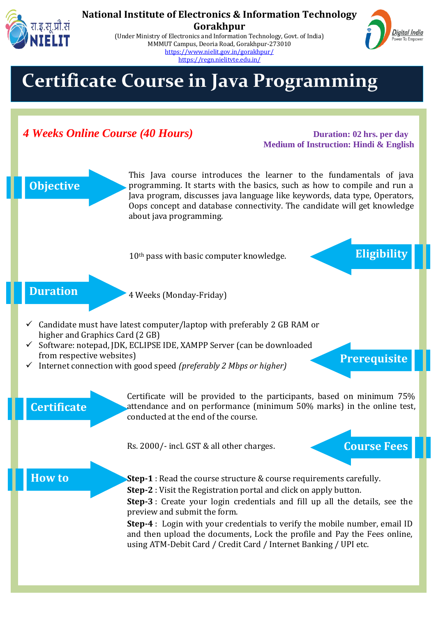

## **National Institute of Electronics & Information Technology**

**Gorakhpur** (Under Ministry of Electronics and Information Technology, Govt. of India) MMMUT Campus, Deoria Road, Gorakhpur-273010

<https://www.nielit.gov.in/gorakhpur/> <https://regn.nielitvte.edu.in/>

Digital India

# ➢ **Certificate Course in Java Programming**

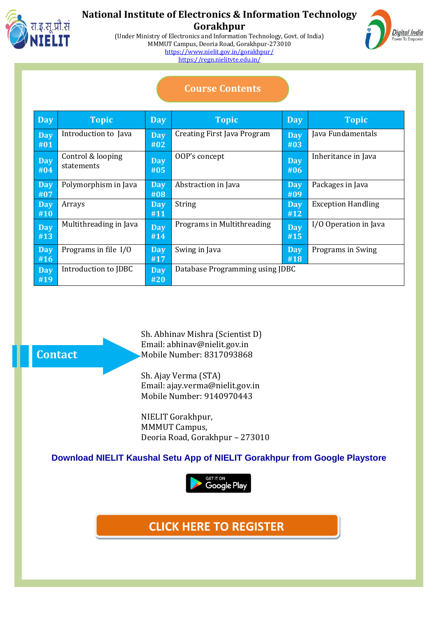

**Contact** 

**Details**

## **National Institute of Electronics & Information Technology Gorakhpur**

(Under Ministry of Electronics and Information Technology, Govt. of India) MMMUT Campus, Deoria Road, Gorakhpur-273010 <https://www.nielit.gov.in/gorakhpur/> <https://regn.nielitvte.edu.in/>



## **Course Contents**

| <b>Day</b>        | <b>Topic</b>                    | <b>Day</b>        | <b>Topic</b>                    | <b>Day</b>        | <b>Topic</b>              |
|-------------------|---------------------------------|-------------------|---------------------------------|-------------------|---------------------------|
| <b>Day</b><br>#01 | Introduction to Java            | <b>Day</b><br>#02 | Creating First Java Program     | <b>Day</b><br>#03 | Java Fundamentals         |
| <b>Day</b><br>#04 | Control & looping<br>statements | <b>Day</b><br>#05 | OOP's concept                   | <b>Day</b><br>#06 | Inheritance in Java       |
| Day<br>#07        | Polymorphism in Java            | <b>Day</b><br>#08 | Abstraction in Java             | Day<br>#09        | Packages in Java          |
| <b>Day</b><br>#10 | Arrays                          | <b>Day</b><br>#11 | String                          | Day<br>#12        | <b>Exception Handling</b> |
| <b>Day</b><br>#13 | Multithreading in Java          | <b>Day</b><br>#14 | Programs in Multithreading      | <b>Day</b><br>#15 | I/O Operation in Java     |
| <b>Day</b><br>#16 | Programs in file I/O            | <b>Day</b><br>#17 | Swing in Java                   | Day<br>#18        | Programs in Swing         |
| <b>Day</b><br>#19 | Introduction to JDBC            | <b>Day</b><br>#20 | Database Programming using JDBC |                   |                           |

Sh. Abhinav Mishra (Scientist D) Email: abhinav@nielit.gov.in Mobile Number: 8317093868

Sh. Ajay Verma (STA) Email: ajay.verma@nielit.gov.in Mobile Number: 9140970443

NIELIT Gorakhpur, MMMUT Campus, Deoria Road, Gorakhpur – 273010

### **Download NIELIT Kaushal Setu App of NIELIT Gorakhpur from Google Playstore**



**[CLICK HERE TO](https://regn.nielitvte.edu.in/) REGISTER**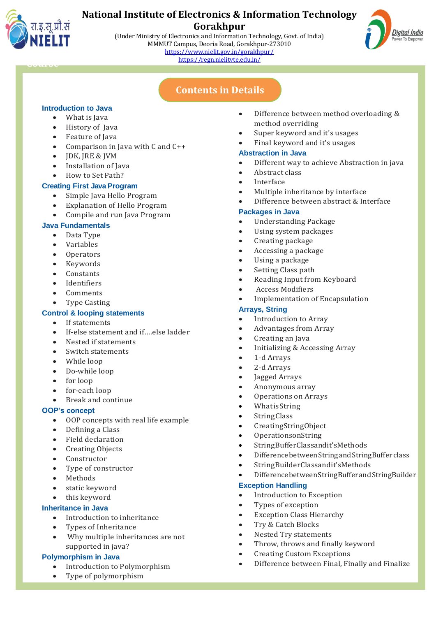

## **National Institute of Electronics & Information Technology Gorakhpur**

(Under Ministry of Electronics and Information Technology, Govt. of India) MMMUT Campus, Deoria Road, Gorakhpur-273010 <https://www.nielit.gov.in/gorakhpur/> <https://regn.nielitvte.edu.in/>



## **Contents in Details**

#### **Introduction to Java**

- What is Java
- History of Java
- Feature of Java
- Comparison in Java with C and C++
- JDK, JRE & JVM
- Installation of Java
- How to Set Path?

#### **Creating First Java Program**

- Simple Java Hello Program
- Explanation of Hello Program
- Compile and run Java Program

#### **Java Fundamentals**

- Data Type
- Variables
- **Operators**
- Keywords
- **Constants**
- Identifiers
- **Comments**
- Type Casting

#### **Control & looping statements**

- If statements
- If-else statement and if….else ladder
- Nested if statements
- Switch statements
- While loop
- Do-while loop
- for loop
- for-each loop
- Break and continue

#### **OOP's concept**

- OOP concepts with real life example
- Defining a Class
- Field declaration
- Creating Objects
- **Constructor**
- Type of constructor
- Methods
- static keyword
- this keyword

#### **Inheritance in Java**

- Introduction to inheritance
- Types of Inheritance
- Why multiple inheritances are not supported in java?

#### **Polymorphism in Java**

- Introduction to Polymorphism
- Type of polymorphism
- Difference between method overloading & method overriding
- Super keyword and it's usages
- Final keyword and it's usages

#### **Abstraction in Java**

- Different way to achieve Abstraction in java
- Abstract class
- Interface
- Multiple inheritance by interface
- Difference between abstract & Interface

#### **Packages in Java**

- Understanding Package
- Using system packages
- Creating package
- Accessing a package
- Using a package
- Setting Class path
- Reading Input from Keyboard
- Access Modifiers
- Implementation of Encapsulation

#### **Arrays, String**

- Introduction to Array
- Advantages from Array
- Creating an Java
- Initializing & Accessing Array
- 1-d Arrays
- 2-d Arrays
- Jagged Arrays
- Anonymous array
- Operations on Arrays
- WhatisString
- StringClass
- CreatingStringObject
- OperationsonString
- StringBufferClassandit'sMethods
- DifferencebetweenStringandStringBuffer class
- StringBuilderClassandit'sMethods
- DifferencebetweenStringBufferandStringBuilder

#### **Exception Handling**

- Introduction to Exception
- Types of exception
- Exception Class Hierarchy
- Try & Catch Blocks
- Nested Try statements
- Throw, throws and finally keyword
- Creating Custom Exceptions
- Difference between Final, Finally and Finalize